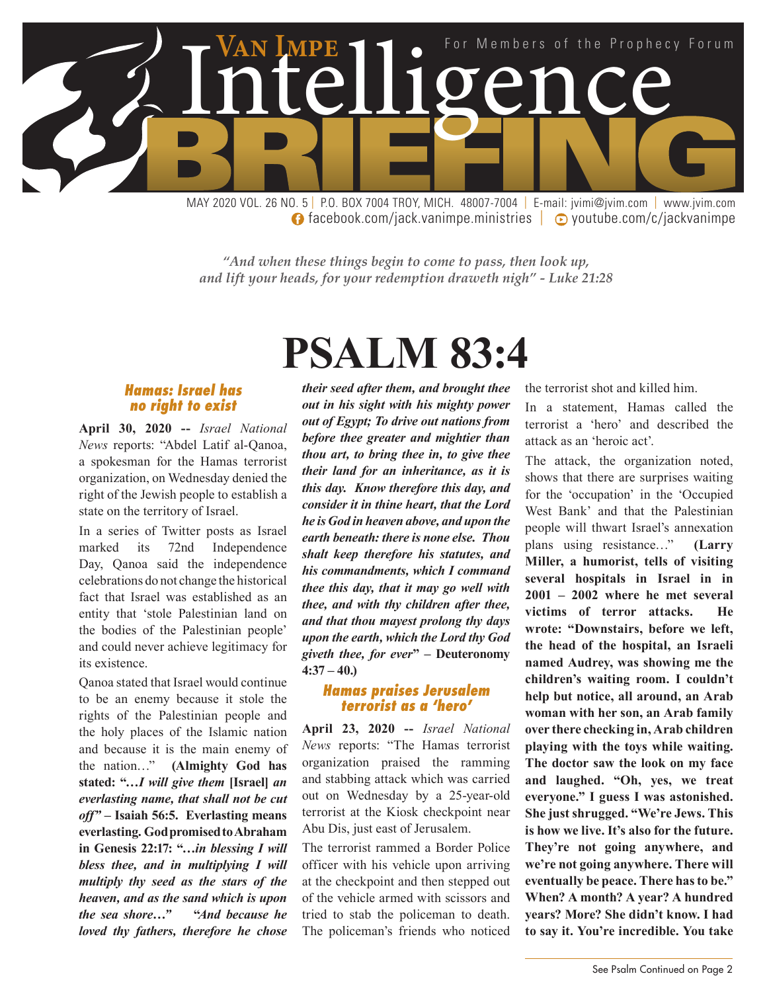

**facebook.com/jack.vanimpe.ministries | © youtube.com/c/jackvanimpe** 

*"And when these things begin to come to pass, then look up, and lift your heads, for your redemption draweth nigh" - Luke 21:28*

# **PSALM 83:4**

#### *Hamas: Israel has no right to exist*

**April 30, 2020 --** *Israel National News* reports: "Abdel Latif al-Qanoa, a spokesman for the Hamas terrorist organization, on Wednesday denied the right of the Jewish people to establish a state on the territory of Israel.

In a series of Twitter posts as Israel marked its 72nd Independence Day, Qanoa said the independence celebrations do not change the historical fact that Israel was established as an entity that 'stole Palestinian land on the bodies of the Palestinian people' and could never achieve legitimacy for its existence.

Qanoa stated that Israel would continue to be an enemy because it stole the rights of the Palestinian people and the holy places of the Islamic nation and because it is the main enemy of the nation…" **(Almighty God has stated: "…***I will give them* **[Israel]** *an everlasting name, that shall not be cut off" –* **Isaiah 56:5. Everlasting means everlasting. God promised to Abraham in Genesis 22:17: "***…in blessing I will bless thee, and in multiplying I will multiply thy seed as the stars of the heaven, and as the sand which is upon the sea shore…"* **"***And because he loved thy fathers, therefore he chose*  *their seed after them, and brought thee out in his sight with his mighty power out of Egypt; To drive out nations from before thee greater and mightier than thou art, to bring thee in, to give thee their land for an inheritance, as it is this day. Know therefore this day, and consider it in thine heart, that the Lord he is God in heaven above, and upon the earth beneath: there is none else. Thou shalt keep therefore his statutes, and his commandments, which I command thee this day, that it may go well with thee, and with thy children after thee, and that thou mayest prolong thy days upon the earth, which the Lord thy God giveth thee, for ever***" – Deuteronomy 4:37 – 40.)**

#### *Hamas praises Jerusalem terrorist as a 'hero'*

**April 23, 2020 --** *Israel National News* reports: "The Hamas terrorist organization praised the ramming and stabbing attack which was carried out on Wednesday by a 25-year-old terrorist at the Kiosk checkpoint near Abu Dis, just east of Jerusalem.

The terrorist rammed a Border Police officer with his vehicle upon arriving at the checkpoint and then stepped out of the vehicle armed with scissors and tried to stab the policeman to death. The policeman's friends who noticed the terrorist shot and killed him.

In a statement, Hamas called the terrorist a 'hero' and described the attack as an 'heroic act'.

The attack, the organization noted, shows that there are surprises waiting for the 'occupation' in the 'Occupied West Bank' and that the Palestinian people will thwart Israel's annexation plans using resistance…" **(Larry Miller, a humorist, tells of visiting several hospitals in Israel in in 2001 – 2002 where he met several victims of terror attacks. He wrote: "Downstairs, before we left, the head of the hospital, an Israeli named Audrey, was showing me the children's waiting room. I couldn't help but notice, all around, an Arab woman with her son, an Arab family over there checking in, Arab children playing with the toys while waiting. The doctor saw the look on my face and laughed. "Oh, yes, we treat everyone." I guess I was astonished. She just shrugged. "We're Jews. This is how we live. It's also for the future. They're not going anywhere, and we're not going anywhere. There will eventually be peace. There has to be." When? A month? A year? A hundred years? More? She didn't know. I had to say it. You're incredible. You take**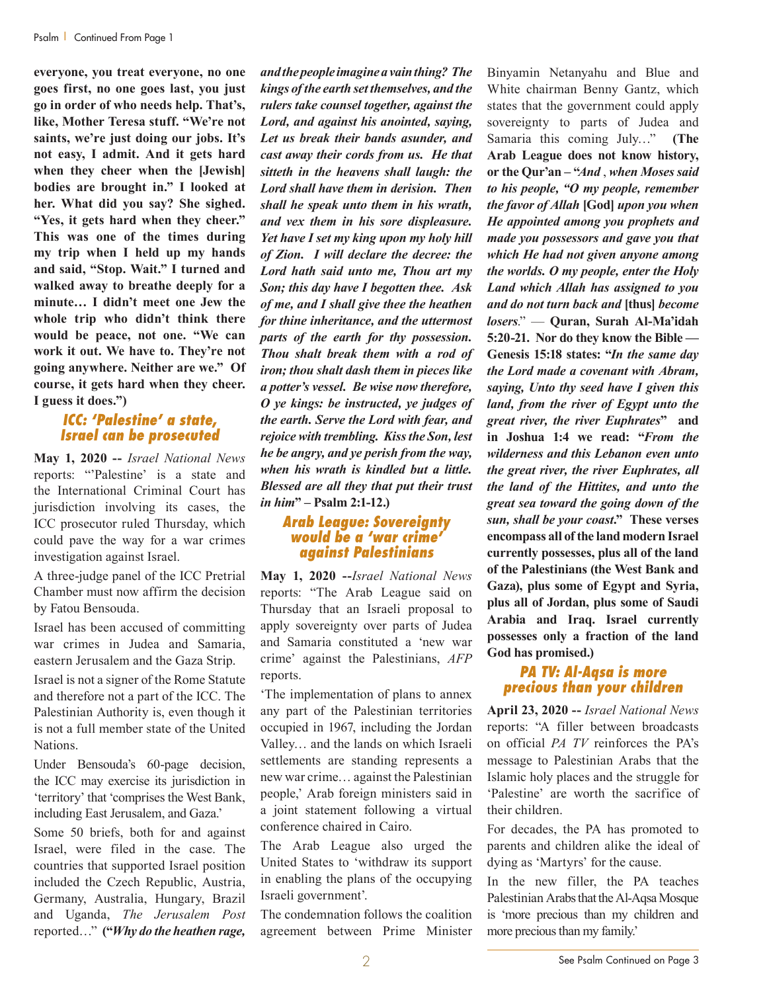**everyone, you treat everyone, no one goes first, no one goes last, you just go in order of who needs help. That's, like, Mother Teresa stuff. "We're not saints, we're just doing our jobs. It's not easy, I admit. And it gets hard when they cheer when the [Jewish] bodies are brought in." I looked at her. What did you say? She sighed. "Yes, it gets hard when they cheer." This was one of the times during my trip when I held up my hands and said, "Stop. Wait." I turned and walked away to breathe deeply for a minute… I didn't meet one Jew the whole trip who didn't think there would be peace, not one. "We can work it out. We have to. They're not going anywhere. Neither are we." Of course, it gets hard when they cheer. I guess it does.")** 

#### *ICC: 'Palestine' a state, Israel can be prosecuted*

**May 1, 2020 --** *Israel National News* reports: "'Palestine' is a state and the International Criminal Court has jurisdiction involving its cases, the ICC prosecutor ruled Thursday, which could pave the way for a war crimes investigation against Israel.

A three-judge panel of the ICC Pretrial Chamber must now affirm the decision by Fatou Bensouda.

Israel has been accused of committing war crimes in Judea and Samaria, eastern Jerusalem and the Gaza Strip.

Israel is not a signer of the Rome Statute and therefore not a part of the ICC. The Palestinian Authority is, even though it is not a full member state of the United **Nations**.

Under Bensouda's 60-page decision, the ICC may exercise its jurisdiction in 'territory' that 'comprises the West Bank, including East Jerusalem, and Gaza.'

Some 50 briefs, both for and against Israel, were filed in the case. The countries that supported Israel position included the Czech Republic, Austria, Germany, Australia, Hungary, Brazil and Uganda, *The Jerusalem Post* reported…" **("***Why do the heathen rage,* 

*and the people imagine a vain thing? The kings of the earth set themselves, and the rulers take counsel together, against the Lord, and against his anointed, saying, Let us break their bands asunder, and cast away their cords from us. He that sitteth in the heavens shall laugh: the Lord shall have them in derision. Then shall he speak unto them in his wrath, and vex them in his sore displeasure. Yet have I set my king upon my holy hill of Zion. I will declare the decree: the Lord hath said unto me, Thou art my Son; this day have I begotten thee. Ask of me, and I shall give thee the heathen for thine inheritance, and the uttermost parts of the earth for thy possession. Thou shalt break them with a rod of iron; thou shalt dash them in pieces like a potter's vessel. Be wise now therefore, O ye kings: be instructed, ye judges of the earth. Serve the Lord with fear, and rejoice with trembling. Kiss the Son, lest he be angry, and ye perish from the way, when his wrath is kindled but a little. Blessed are all they that put their trust in him***" – Psalm 2:1-12.)**

#### *Arab League: Sovereignty would be a 'war crime' against Palestinians*

**May 1, 2020 --***Israel National News* reports: "The Arab League said on Thursday that an Israeli proposal to apply sovereignty over parts of Judea and Samaria constituted a 'new war crime' against the Palestinians, *AFP* reports.

'The implementation of plans to annex any part of the Palestinian territories occupied in 1967, including the Jordan Valley… and the lands on which Israeli settlements are standing represents a new war crime… against the Palestinian people,' Arab foreign ministers said in a joint statement following a virtual conference chaired in Cairo.

The Arab League also urged the United States to 'withdraw its support in enabling the plans of the occupying Israeli government'.

The condemnation follows the coalition agreement between Prime Minister

Binyamin Netanyahu and Blue and White chairman Benny Gantz, which states that the government could apply sovereignty to parts of Judea and Samaria this coming July…" **(The Arab League does not know history, or the Qur'an – "***And* , *when Moses said to his people, "O my people, remember the favor of Allah* **[God]** *upon you when He appointed among you prophets and made you possessors and gave you that which He had not given anyone among the worlds. O my people, enter the Holy Land which Allah has assigned to you and do not turn back and* **[thus]** *become losers*." — **Quran, Surah Al-Ma'idah 5:20-21. Nor do they know the Bible — Genesis 15:18 states: "***In the same day the Lord made a covenant with Abram, saying, Unto thy seed have I given this land, from the river of Egypt unto the great river, the river Euphrates***" and in Joshua 1:4 we read: "***From the wilderness and this Lebanon even unto the great river, the river Euphrates, all the land of the Hittites, and unto the great sea toward the going down of the sun, shall be your coast***." These verses encompass all of the land modern Israel currently possesses, plus all of the land of the Palestinians (the West Bank and Gaza), plus some of Egypt and Syria, plus all of Jordan, plus some of Saudi Arabia and Iraq. Israel currently possesses only a fraction of the land God has promised.)**

#### *PA TV: Al-Aqsa is more precious than your children*

**April 23, 2020 --** *Israel National News* reports: "A filler between broadcasts on official *PA TV* reinforces the PA's message to Palestinian Arabs that the Islamic holy places and the struggle for 'Palestine' are worth the sacrifice of their children.

For decades, the PA has promoted to parents and children alike the ideal of dying as 'Martyrs' for the cause.

In the new filler, the PA teaches Palestinian Arabs that the Al-Aqsa Mosque is 'more precious than my children and more precious than my family.'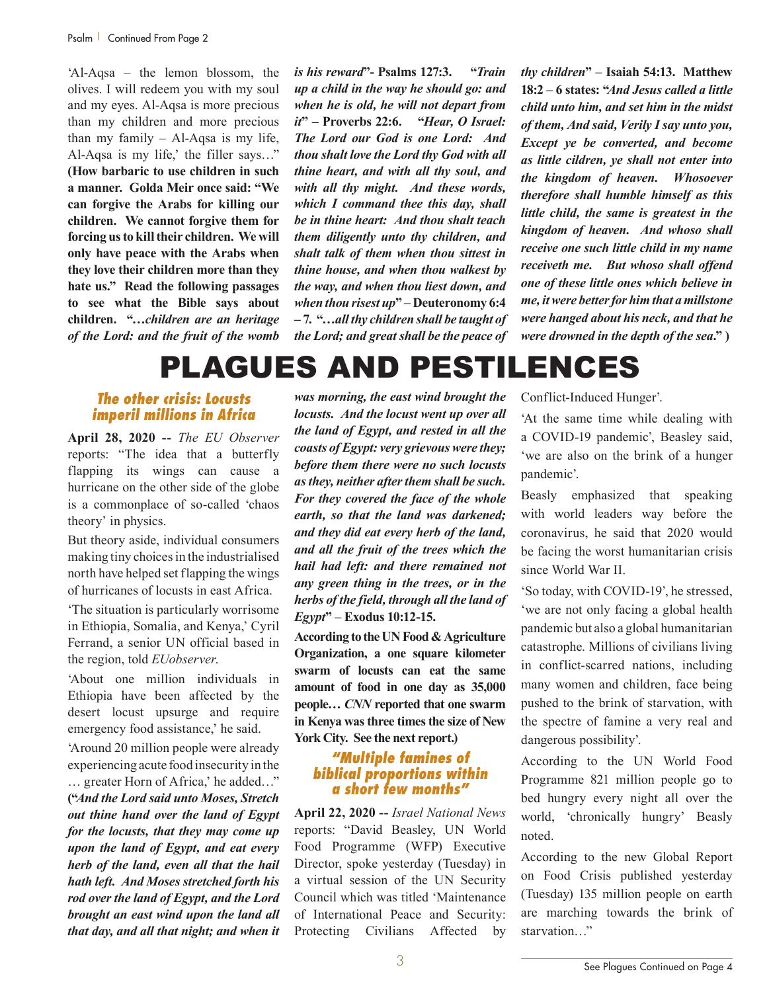'Al-Aqsa – the lemon blossom, the olives. I will redeem you with my soul and my eyes. Al-Aqsa is more precious than my children and more precious than my family – Al-Aqsa is my life, Al-Aqsa is my life,' the filler says…" **(How barbaric to use children in such a manner. Golda Meir once said: "We can forgive the Arabs for killing our children. We cannot forgive them for forcing us to kill their children. We will only have peace with the Arabs when they love their children more than they hate us." Read the following passages to see what the Bible says about children. "…***children are an heritage of the Lord: and the fruit of the womb* 

*is his reward***"- Psalms 127:3. "***Train up a child in the way he should go: and when he is old, he will not depart from it***" – Proverbs 22:6. "***Hear, O Israel: The Lord our God is one Lord: And thou shalt love the Lord thy God with all thine heart, and with all thy soul, and with all thy might. And these words, which I command thee this day, shall be in thine heart: And thou shalt teach them diligently unto thy children, and shalt talk of them when thou sittest in thine house, and when thou walkest by the way, and when thou liest down, and when thou risest up***" – Deuteronomy 6:4 – 7. "…***all thy children shall be taught of the Lord; and great shall be the peace of*  *thy children***" – Isaiah 54:13. Matthew 18:2 – 6 states: "***And Jesus called a little child unto him, and set him in the midst of them, And said, Verily I say unto you, Except ye be converted, and become as little cildren, ye shall not enter into the kingdom of heaven. Whosoever therefore shall humble himself as this little child, the same is greatest in the kingdom of heaven. And whoso shall receive one such little child in my name receiveth me. But whoso shall offend one of these little ones which believe in me, it were better for him that a millstone were hanged about his neck, and that he were drowned in the depth of the sea***." )**

### PLAGUES AND PESTILENCES

#### *The other crisis: Locusts imperil millions in Africa*

**April 28, 2020 --** *The EU Observer* reports: "The idea that a butterfly flapping its wings can cause a hurricane on the other side of the globe is a commonplace of so-called 'chaos theory' in physics.

But theory aside, individual consumers making tiny choices in the industrialised north have helped set flapping the wings of hurricanes of locusts in east Africa.

'The situation is particularly worrisome in Ethiopia, Somalia, and Kenya,' Cyril Ferrand, a senior UN official based in the region, told *EUobserver*.

'About one million individuals in Ethiopia have been affected by the desert locust upsurge and require emergency food assistance,' he said.

'Around 20 million people were already experiencing acute food insecurity in the

… greater Horn of Africa,' he added…" **("***And the Lord said unto Moses, Stretch out thine hand over the land of Egypt for the locusts, that they may come up upon the land of Egypt, and eat every herb of the land, even all that the hail hath left. And Moses stretched forth his rod over the land of Egypt, and the Lord brought an east wind upon the land all that day, and all that night; and when it*  *was morning, the east wind brought the locusts. And the locust went up over all the land of Egypt, and rested in all the coasts of Egypt: very grievous were they; before them there were no such locusts as they, neither after them shall be such. For they covered the face of the whole earth, so that the land was darkened; and they did eat every herb of the land, and all the fruit of the trees which the hail had left: and there remained not any green thing in the trees, or in the herbs of the field, through all the land of Egypt***" – Exodus 10:12-15.** 

**According to the UN Food & Agriculture Organization, a one square kilometer swarm of locusts can eat the same amount of food in one day as 35,000 people…** *CNN* **reported that one swarm in Kenya was three times the size of New York City. See the next report.)**

#### *"Multiple famines of biblical proportions within a short few months"*

**April 22, 2020 --** *Israel National News* reports: "David Beasley, UN World Food Programme (WFP) Executive Director, spoke yesterday (Tuesday) in a virtual session of the UN Security Council which was titled 'Maintenance of International Peace and Security: Protecting Civilians Affected by

Conflict-Induced Hunger'.

'At the same time while dealing with a COVID-19 pandemic', Beasley said, 'we are also on the brink of a hunger pandemic'.

Beasly emphasized that speaking with world leaders way before the coronavirus, he said that 2020 would be facing the worst humanitarian crisis since World War II.

'So today, with COVID-19', he stressed, 'we are not only facing a global health pandemic but also a global humanitarian catastrophe. Millions of civilians living in conflict-scarred nations, including many women and children, face being pushed to the brink of starvation, with the spectre of famine a very real and dangerous possibility'.

According to the UN World Food Programme 821 million people go to bed hungry every night all over the world, 'chronically hungry' Beasly noted.

According to the new Global Report on Food Crisis published yesterday (Tuesday) 135 million people on earth are marching towards the brink of starvation…"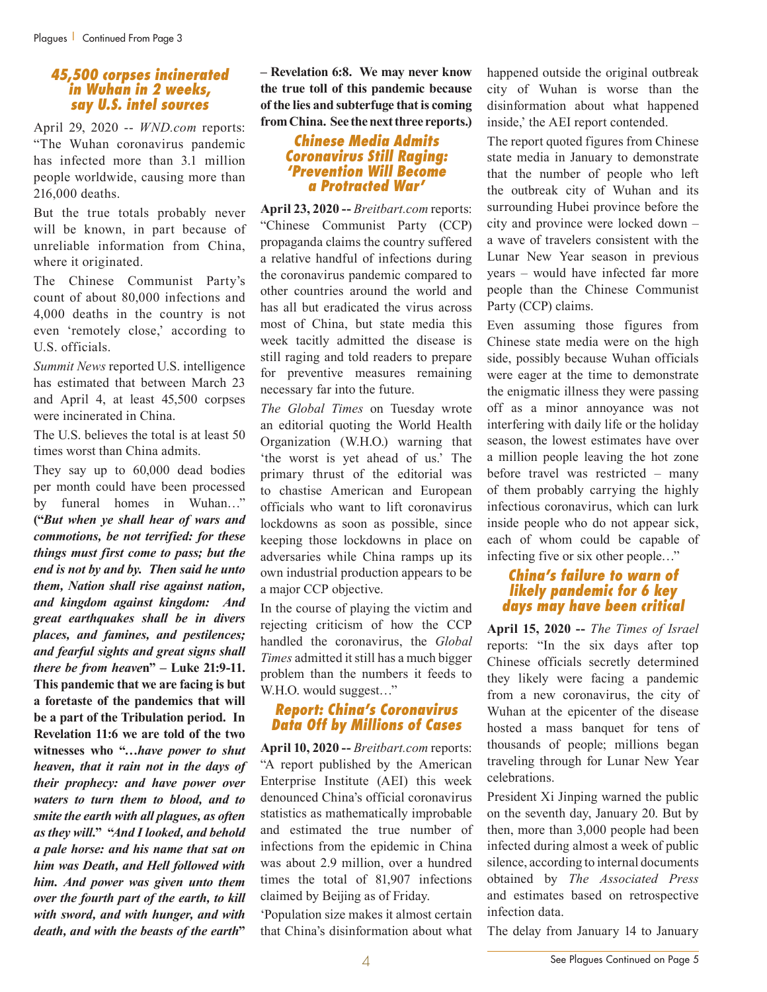#### *45,500 corpses incinerated in Wuhan in 2 weeks, say U.S. intel sources*

April 29, 2020 -- *WND.com* reports: "The Wuhan coronavirus pandemic has infected more than 3.1 million people worldwide, causing more than 216,000 deaths.

But the true totals probably never will be known, in part because of unreliable information from China, where it originated.

The Chinese Communist Party's count of about 80,000 infections and 4,000 deaths in the country is not even 'remotely close,' according to U.S. officials.

*Summit News* reported U.S. intelligence has estimated that between March 23 and April 4, at least 45,500 corpses were incinerated in China.

The U.S. believes the total is at least 50 times worst than China admits.

They say up to 60,000 dead bodies per month could have been processed by funeral homes in Wuhan…" **("***But when ye shall hear of wars and commotions, be not terrified: for these things must first come to pass; but the end is not by and by. Then said he unto them, Nation shall rise against nation, and kingdom against kingdom: And great earthquakes shall be in divers places, and famines, and pestilences; and fearful sights and great signs shall there be from heave***n" – Luke 21:9-11. This pandemic that we are facing is but a foretaste of the pandemics that will be a part of the Tribulation period. In Revelation 11:6 we are told of the two witnesses who "…***have power to shut heaven, that it rain not in the days of their prophecy: and have power over waters to turn them to blood, and to smite the earth with all plagues, as often as they will.***" "***And I looked, and behold a pale horse: and his name that sat on him was Death, and Hell followed with him. And power was given unto them over the fourth part of the earth, to kill with sword, and with hunger, and with death, and with the beasts of the earth***"** 

**– Revelation 6:8. We may never know the true toll of this pandemic because of the lies and subterfuge that is coming from China. See the next three reports.)**

#### *Chinese Media Admits Coronavirus Still Raging: 'Prevention Will Become a Protracted War'*

**April 23, 2020 --** *Breitbart.com* reports: "Chinese Communist Party (CCP) propaganda claims the country suffered a relative handful of infections during the coronavirus pandemic compared to other countries around the world and has all but eradicated the virus across most of China, but state media this week tacitly admitted the disease is still raging and told readers to prepare for preventive measures remaining necessary far into the future.

*The Global Times* on Tuesday wrote an editorial quoting the World Health Organization (W.H.O.) warning that 'the worst is yet ahead of us.' The primary thrust of the editorial was to chastise American and European officials who want to lift coronavirus lockdowns as soon as possible, since keeping those lockdowns in place on adversaries while China ramps up its own industrial production appears to be a major CCP objective.

In the course of playing the victim and rejecting criticism of how the CCP handled the coronavirus, the *Global Times* admitted it still has a much bigger problem than the numbers it feeds to W.H.O. would suggest…"

#### *Report: China's Coronavirus Data Off by Millions of Cases*

**April 10, 2020 --** *Breitbart.com* reports: "A report published by the American Enterprise Institute (AEI) this week denounced China's official coronavirus statistics as mathematically improbable and estimated the true number of infections from the epidemic in China was about 2.9 million, over a hundred times the total of 81,907 infections claimed by Beijing as of Friday.

'Population size makes it almost certain that China's disinformation about what

happened outside the original outbreak city of Wuhan is worse than the disinformation about what happened inside,' the AEI report contended.

The report quoted figures from Chinese state media in January to demonstrate that the number of people who left the outbreak city of Wuhan and its surrounding Hubei province before the city and province were locked down – a wave of travelers consistent with the Lunar New Year season in previous years – would have infected far more people than the Chinese Communist Party (CCP) claims.

Even assuming those figures from Chinese state media were on the high side, possibly because Wuhan officials were eager at the time to demonstrate the enigmatic illness they were passing off as a minor annoyance was not interfering with daily life or the holiday season, the lowest estimates have over a million people leaving the hot zone before travel was restricted – many of them probably carrying the highly infectious coronavirus, which can lurk inside people who do not appear sick, each of whom could be capable of infecting five or six other people…"

#### *China's failure to warn of likely pandemic for 6 key days may have been critical*

**April 15, 2020 --** *The Times of Israel* reports: "In the six days after top Chinese officials secretly determined they likely were facing a pandemic from a new coronavirus, the city of Wuhan at the epicenter of the disease hosted a mass banquet for tens of thousands of people; millions began traveling through for Lunar New Year celebrations.

President Xi Jinping warned the public on the seventh day, January 20. But by then, more than 3,000 people had been infected during almost a week of public silence, according to internal documents obtained by *The Associated Press* and estimates based on retrospective infection data.

The delay from January 14 to January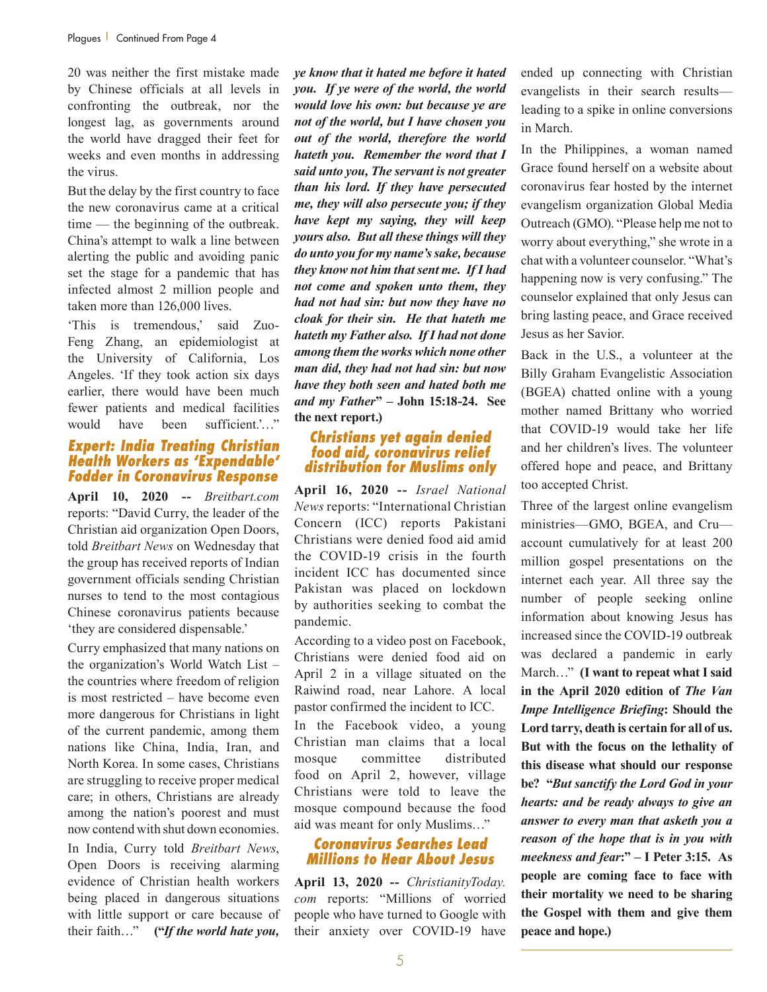20 was neither the first mistake made by Chinese officials at all levels in confronting the outbreak, nor the longest lag, as governments around the world have dragged their feet for weeks and even months in addressing the virus.

But the delay by the first country to face the new coronavirus came at a critical time — the beginning of the outbreak. China's attempt to walk a line between alerting the public and avoiding panic set the stage for a pandemic that has infected almost 2 million people and taken more than 126,000 lives.

'This is tremendous,' said Zuo-Feng Zhang, an epidemiologist at the University of California, Los Angeles. 'If they took action six days earlier, there would have been much fewer patients and medical facilities would have been sufficient.'…"

#### *Expert: India Treating Christian Health Workers as 'Expendable' Fodder in Coronavirus Response*

**April 10, 2020 --** *Breitbart.com* reports: "David Curry, the leader of the Christian aid organization Open Doors, told *Breitbart News* on Wednesday that the group has received reports of Indian government officials sending Christian nurses to tend to the most contagious Chinese coronavirus patients because 'they are considered dispensable.'

Curry emphasized that many nations on the organization's World Watch List – the countries where freedom of religion is most restricted – have become even more dangerous for Christians in light of the current pandemic, among them nations like China, India, Iran, and North Korea. In some cases, Christians are struggling to receive proper medical care; in others, Christians are already among the nation's poorest and must now contend with shut down economies.

In India, Curry told *Breitbart News*, Open Doors is receiving alarming evidence of Christian health workers being placed in dangerous situations with little support or care because of their faith…" **("***If the world hate you,*  *ye know that it hated me before it hated you. If ye were of the world, the world would love his own: but because ye are not of the world, but I have chosen you out of the world, therefore the world hateth you. Remember the word that I said unto you, The servant is not greater than his lord. If they have persecuted me, they will also persecute you; if they have kept my saying, they will keep yours also. But all these things will they do unto you for my name's sake, because they know not him that sent me. If I had not come and spoken unto them, they had not had sin: but now they have no cloak for their sin. He that hateth me hateth my Father also. If I had not done among them the works which none other man did, they had not had sin: but now have they both seen and hated both me and my Father***" – John 15:18-24. See the next report.)**

#### *Christians yet again denied food aid, coronavirus relief distribution for Muslims only*

**April 16, 2020 --** *Israel National News* reports: "International Christian Concern (ICC) reports Pakistani Christians were denied food aid amid the COVID-19 crisis in the fourth incident ICC has documented since Pakistan was placed on lockdown by authorities seeking to combat the pandemic.

According to a video post on Facebook, Christians were denied food aid on April 2 in a village situated on the Raiwind road, near Lahore. A local pastor confirmed the incident to ICC.

In the Facebook video, a young Christian man claims that a local mosque committee distributed food on April 2, however, village Christians were told to leave the mosque compound because the food aid was meant for only Muslims…"

#### *Coronavirus Searches Lead Millions to Hear About Jesus*

**April 13, 2020 --** *ChristianityToday. com* reports: "Millions of worried people who have turned to Google with their anxiety over COVID-19 have

ended up connecting with Christian evangelists in their search results leading to a spike in online conversions in March.

In the Philippines, a woman named Grace found herself on a website about coronavirus fear hosted by the internet evangelism organization Global Media Outreach (GMO). "Please help me not to worry about everything," she wrote in a chat with a volunteer counselor. "What's happening now is very confusing." The counselor explained that only Jesus can bring lasting peace, and Grace received Jesus as her Savior.

Back in the U.S., a volunteer at the Billy Graham Evangelistic Association (BGEA) chatted online with a young mother named Brittany who worried that COVID-19 would take her life and her children's lives. The volunteer offered hope and peace, and Brittany too accepted Christ.

Three of the largest online evangelism ministries—GMO, BGEA, and Cru account cumulatively for at least 200 million gospel presentations on the internet each year. All three say the number of people seeking online information about knowing Jesus has increased since the COVID-19 outbreak was declared a pandemic in early March…" **(I want to repeat what I said in the April 2020 edition of** *The Van Impe Intelligence Briefing***: Should the Lord tarry, death is certain for all of us. But with the focus on the lethality of this disease what should our response be? "***But sanctify the Lord God in your hearts: and be ready always to give an answer to every man that asketh you a reason of the hope that is in you with meekness and fear***:" – I Peter 3:15. As people are coming face to face with their mortality we need to be sharing the Gospel with them and give them peace and hope.)**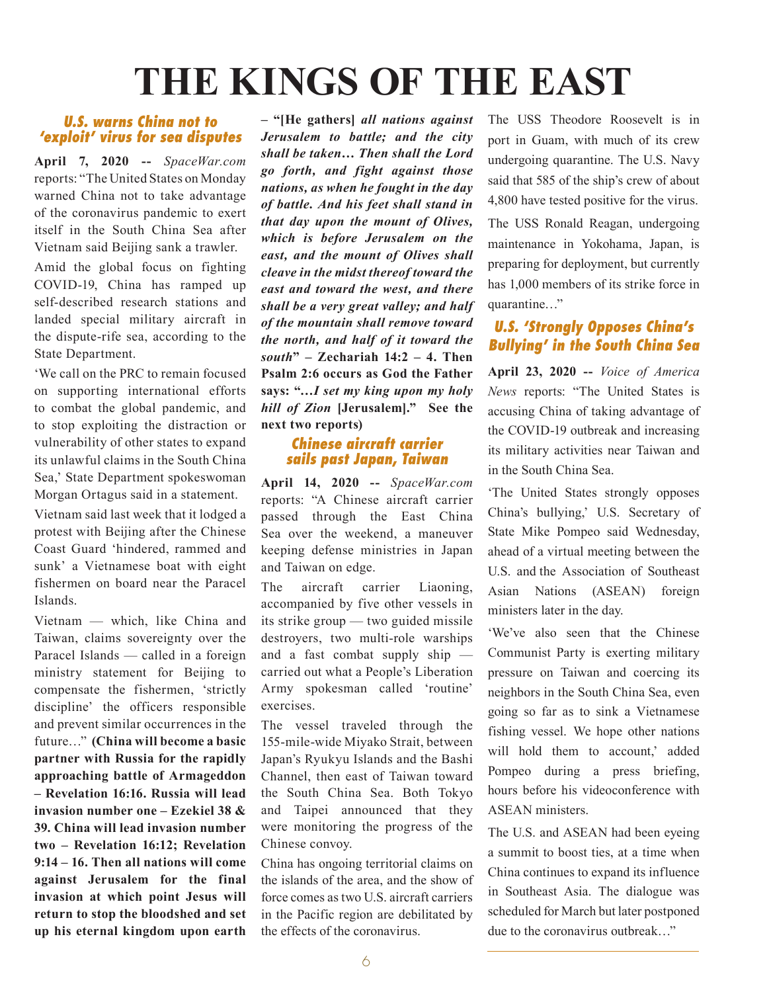# **THE KINGS OF THE EAST**

#### *U.S. warns China not to 'exploit' virus for sea disputes*

**April 7, 2020 --** *SpaceWar.com* reports: "The United States on Monday warned China not to take advantage of the coronavirus pandemic to exert itself in the South China Sea after Vietnam said Beijing sank a trawler.

Amid the global focus on fighting COVID-19, China has ramped up self-described research stations and landed special military aircraft in the dispute-rife sea, according to the State Department.

'We call on the PRC to remain focused on supporting international efforts to combat the global pandemic, and to stop exploiting the distraction or vulnerability of other states to expand its unlawful claims in the South China Sea,' State Department spokeswoman Morgan Ortagus said in a statement.

Vietnam said last week that it lodged a protest with Beijing after the Chinese Coast Guard 'hindered, rammed and sunk' a Vietnamese boat with eight fishermen on board near the Paracel Islands.

Vietnam — which, like China and Taiwan, claims sovereignty over the Paracel Islands — called in a foreign ministry statement for Beijing to compensate the fishermen, 'strictly discipline' the officers responsible and prevent similar occurrences in the future…" **(China will become a basic partner with Russia for the rapidly approaching battle of Armageddon – Revelation 16:16. Russia will lead invasion number one – Ezekiel 38 & 39. China will lead invasion number two – Revelation 16:12; Revelation 9:14 – 16. Then all nations will come against Jerusalem for the final invasion at which point Jesus will return to stop the bloodshed and set up his eternal kingdom upon earth**  **– "[He gathers]** *all nations against Jerusalem to battle; and the city shall be taken… Then shall the Lord go forth, and fight against those nations, as when he fought in the day of battle. And his feet shall stand in that day upon the mount of Olives, which is before Jerusalem on the east, and the mount of Olives shall cleave in the midst thereof toward the east and toward the west, and there shall be a very great valley; and half of the mountain shall remove toward the north, and half of it toward the south***" – Zechariah 14:2 – 4. Then Psalm 2:6 occurs as God the Father says: "…***I set my king upon my holy hill of Zion* **[Jerusalem]." See the next two reports)**

#### *Chinese aircraft carrier sails past Japan, Taiwan*

**April 14, 2020 --** *SpaceWar.com* reports: "A Chinese aircraft carrier passed through the East China Sea over the weekend, a maneuver keeping defense ministries in Japan and Taiwan on edge.

The aircraft carrier Liaoning, accompanied by five other vessels in its strike group — two guided missile destroyers, two multi-role warships and a fast combat supply ship carried out what a People's Liberation Army spokesman called 'routine' exercises.

The vessel traveled through the 155-mile-wide Miyako Strait, between Japan's Ryukyu Islands and the Bashi Channel, then east of Taiwan toward the South China Sea. Both Tokyo and Taipei announced that they were monitoring the progress of the Chinese convoy.

China has ongoing territorial claims on the islands of the area, and the show of force comes as two U.S. aircraft carriers in the Pacific region are debilitated by the effects of the coronavirus.

The USS Theodore Roosevelt is in port in Guam, with much of its crew undergoing quarantine. The U.S. Navy said that 585 of the ship's crew of about 4,800 have tested positive for the virus.

The USS Ronald Reagan, undergoing maintenance in Yokohama, Japan, is preparing for deployment, but currently has 1,000 members of its strike force in quarantine…"

#### *U.S. 'Strongly Opposes China's Bullying' in the South China Sea*

**April 23, 2020 --** *Voice of America News* reports: "The United States is accusing China of taking advantage of the COVID-19 outbreak and increasing its military activities near Taiwan and in the South China Sea.

'The United States strongly opposes China's bullying,' U.S. Secretary of State Mike Pompeo said Wednesday, ahead of a virtual meeting between the U.S. and the Association of Southeast Asian Nations (ASEAN) foreign ministers later in the day.

'We've also seen that the Chinese Communist Party is exerting military pressure on Taiwan and coercing its neighbors in the South China Sea, even going so far as to sink a Vietnamese fishing vessel. We hope other nations will hold them to account,' added Pompeo during a press briefing, hours before his videoconference with ASEAN ministers.

The U.S. and ASEAN had been eyeing a summit to boost ties, at a time when China continues to expand its influence in Southeast Asia. The dialogue was scheduled for March but later postponed due to the coronavirus outbreak…"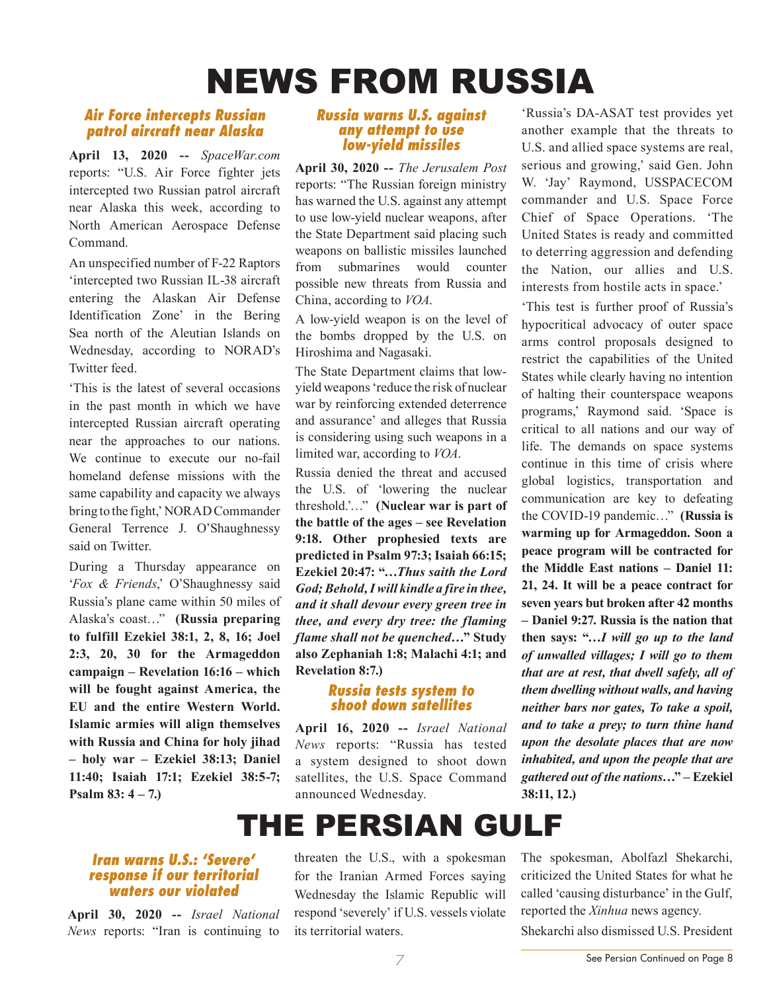## NEWS FROM RUSSIA

#### *Air Force intercepts Russian patrol aircraft near Alaska*

**April 13, 2020 --** *SpaceWar.com* reports: "U.S. Air Force fighter jets intercepted two Russian patrol aircraft near Alaska this week, according to North American Aerospace Defense Command.

An unspecified number of F-22 Raptors 'intercepted two Russian IL-38 aircraft entering the Alaskan Air Defense Identification Zone' in the Bering Sea north of the Aleutian Islands on Wednesday, according to NORAD's Twitter feed.

'This is the latest of several occasions in the past month in which we have intercepted Russian aircraft operating near the approaches to our nations. We continue to execute our no-fail homeland defense missions with the same capability and capacity we always bring to the fight,' NORAD Commander General Terrence J. O'Shaughnessy said on Twitter.

During a Thursday appearance on '*Fox & Friends*,' O'Shaughnessy said Russia's plane came within 50 miles of Alaska's coast…" **(Russia preparing to fulfill Ezekiel 38:1, 2, 8, 16; Joel 2:3, 20, 30 for the Armageddon campaign – Revelation 16:16 – which will be fought against America, the EU and the entire Western World. Islamic armies will align themselves with Russia and China for holy jihad – holy war – Ezekiel 38:13; Daniel 11:40; Isaiah 17:1; Ezekiel 38:5-7; Psalm 83: 4 – 7.)**

#### *Russia warns U.S. against any attempt to use low-yield missiles*

**April 30, 2020 --** *The Jerusalem Post* reports: "The Russian foreign ministry has warned the U.S. against any attempt to use low-yield nuclear weapons, after the State Department said placing such weapons on ballistic missiles launched from submarines would counter possible new threats from Russia and China, according to *VOA*.

A low-yield weapon is on the level of the bombs dropped by the U.S. on Hiroshima and Nagasaki.

The State Department claims that lowyield weapons 'reduce the risk of nuclear war by reinforcing extended deterrence and assurance' and alleges that Russia is considering using such weapons in a limited war, according to *VOA*.

Russia denied the threat and accused the U.S. of 'lowering the nuclear threshold.'…" **(Nuclear war is part of the battle of the ages – see Revelation 9:18. Other prophesied texts are predicted in Psalm 97:3; Isaiah 66:15; Ezekiel 20:47: "…***Thus saith the Lord God; Behold, I will kindle a fire in thee, and it shall devour every green tree in thee, and every dry tree: the flaming flame shall not be quenched***…" Study also Zephaniah 1:8; Malachi 4:1; and Revelation 8:7.)**

#### *Russia tests system to shoot down satellites*

**April 16, 2020 --** *Israel National News* reports: "Russia has tested a system designed to shoot down satellites, the U.S. Space Command announced Wednesday.

'Russia's DA-ASAT test provides yet another example that the threats to U.S. and allied space systems are real, serious and growing,' said Gen. John W. 'Jay' Raymond, USSPACECOM commander and U.S. Space Force Chief of Space Operations. 'The United States is ready and committed to deterring aggression and defending the Nation, our allies and U.S. interests from hostile acts in space.'

'This test is further proof of Russia's hypocritical advocacy of outer space arms control proposals designed to restrict the capabilities of the United States while clearly having no intention of halting their counterspace weapons programs,' Raymond said. 'Space is critical to all nations and our way of life. The demands on space systems continue in this time of crisis where global logistics, transportation and communication are key to defeating the COVID-19 pandemic…" **(Russia is warming up for Armageddon. Soon a peace program will be contracted for the Middle East nations – Daniel 11: 21, 24. It will be a peace contract for seven years but broken after 42 months – Daniel 9:27. Russia is the nation that then says: "…***I will go up to the land of unwalled villages; I will go to them that are at rest, that dwell safely, all of them dwelling without walls, and having neither bars nor gates, To take a spoil, and to take a prey; to turn thine hand upon the desolate places that are now inhabited, and upon the people that are gathered out of the nations***…" – Ezekiel 38:11, 12.)**

## THE PERSIAN GULF

#### *Iran warns U.S.: 'Severe' response if our territorial waters our violated*

**April 30, 2020 --** *Israel National News* reports: "Iran is continuing to

threaten the U.S., with a spokesman for the Iranian Armed Forces saying Wednesday the Islamic Republic will respond 'severely' if U.S. vessels violate its territorial waters.

The spokesman, Abolfazl Shekarchi, criticized the United States for what he called 'causing disturbance' in the Gulf, reported the *Xinhua* news agency. Shekarchi also dismissed U.S. President